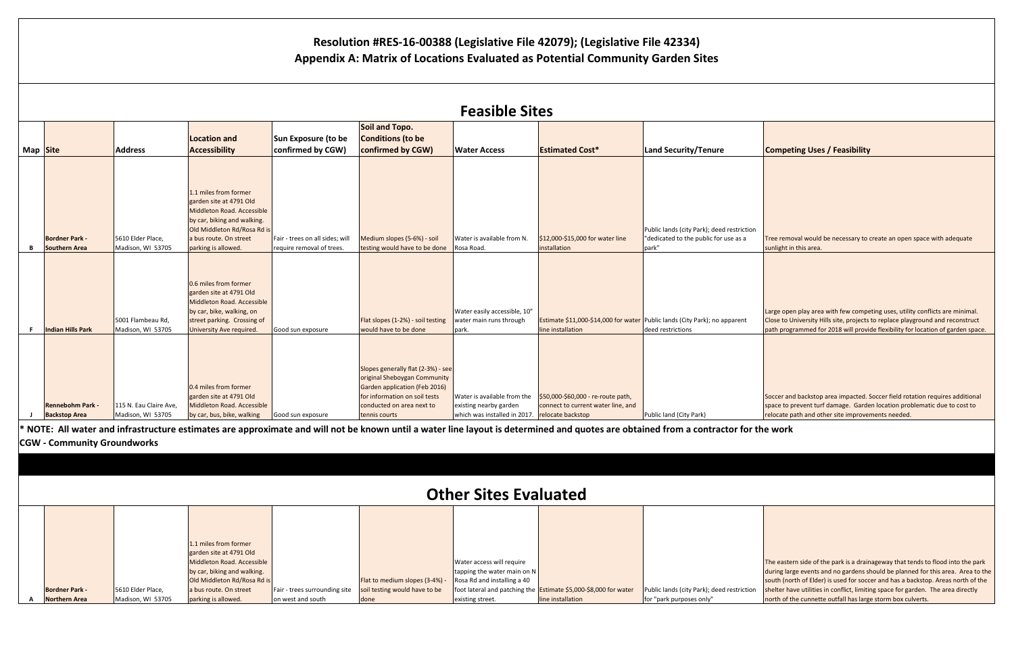|      | <b>Competing Uses / Feasibility</b>                                                                                                                                                                           |
|------|---------------------------------------------------------------------------------------------------------------------------------------------------------------------------------------------------------------|
|      |                                                                                                                                                                                                               |
|      |                                                                                                                                                                                                               |
| tion | Tree removal would be necessary to create an open space with adequate<br>sunlight in this area.                                                                                                               |
|      |                                                                                                                                                                                                               |
|      | Large open play area with few competing uses, utility conflicts are minimal.                                                                                                                                  |
|      | Close to University Hills site, projects to replace playground and reconstruct<br>path programmed for 2018 will provide flexibility for location of garden space.                                             |
|      |                                                                                                                                                                                                               |
|      | Soccer and backstop area impacted. Soccer field rotation requires additional<br>space to prevent turf damage. Garden location problematic due to cost to<br>relocate path and other site improvements needed. |
|      | or the work                                                                                                                                                                                                   |
|      |                                                                                                                                                                                                               |
|      |                                                                                                                                                                                                               |

| <b>Feasible Sites</b> |                                                 |                                             |                                                                                                                                                                                               |                                                              |                                                                                                                                                                                    |                                                                                                         |                                                                          |                                                                                                 |                                                                                                                        |
|-----------------------|-------------------------------------------------|---------------------------------------------|-----------------------------------------------------------------------------------------------------------------------------------------------------------------------------------------------|--------------------------------------------------------------|------------------------------------------------------------------------------------------------------------------------------------------------------------------------------------|---------------------------------------------------------------------------------------------------------|--------------------------------------------------------------------------|-------------------------------------------------------------------------------------------------|------------------------------------------------------------------------------------------------------------------------|
|                       | Map Site                                        | <b>Address</b>                              | <b>Location and</b><br>Accessibility                                                                                                                                                          | Sun Exposure (to be<br>confirmed by CGW)                     | Soil and Topo.<br><b>Conditions (to be</b><br>confirmed by CGW)                                                                                                                    | <b>Water Access</b>                                                                                     | <b>Estimated Cost*</b>                                                   | Land Security/Tenure                                                                            | <b>Competing Uses / Feasibility</b>                                                                                    |
| В                     | <b>Bordner Park -</b><br><b>Southern Area</b>   | 5610 Elder Place,<br>Madison, WI 53705      | 1.1 miles from former<br>garden site at 4791 Old<br>Middleton Road. Accessible<br>by car, biking and walking.<br>Old Middleton Rd/Rosa Rd is<br>a bus route. On street<br>parking is allowed. | Fair - trees on all sides; will<br>require removal of trees. | Medium slopes (5-6%) - soil<br>testing would have to be done                                                                                                                       | Water is available from N.<br>Rosa Road.                                                                | \$12,000-\$15,000 for water line<br>installation                         | Public lands (city Park); deed restriction<br>"dedicated to the public for use as a<br>park"    | Tree removal would be necessary to<br>sunlight in this area.                                                           |
| F.                    | <b>Indian Hills Park</b>                        | 5001 Flambeau Rd,<br>Madison, WI 53705      | 0.6 miles from former<br>garden site at 4791 Old<br>Middleton Road. Accessible<br>by car, bike, walking, on<br>street parking. Crossing of<br>University Ave required.                        | Good sun exposure                                            | Flat slopes (1-2%) - soil testing<br>would have to be done                                                                                                                         | Water easily accessible, 10"<br>water main runs through<br>park.                                        | line installation                                                        | Estimate \$11,000-\$14,000 for water Public lands (City Park); no apparent<br>deed restrictions | Large open play area with few compe<br>Close to University Hills site, projects<br>path programmed for 2018 will provi |
|                       | <b>Rennebohm Park -</b><br><b>Backstop Area</b> | 115 N. Eau Claire Ave,<br>Madison, WI 53705 | 0.4 miles from former<br>garden site at 4791 Old<br>Middleton Road. Accessible<br>by car, bus, bike, walking                                                                                  | Good sun exposure                                            | Slopes generally flat (2-3%) - see<br>original Sheboygan Community<br>Garden application (Feb 2016)<br>for information on soil tests<br>conducted on area next to<br>tennis courts | Water is available from the<br>existing nearby garden<br>which was installed in 2017. relocate backstop | \$50,000-\$60,000 - re-route path,<br>connect to current water line, and | Public land (City Park)                                                                         | Soccer and backstop area impacted.<br>space to prevent turf damage. Garde<br>relocate path and other site improve      |

|                       |                   | 1.1 miles from former       |                               |                                |                               |                                                                  |                                            |
|-----------------------|-------------------|-----------------------------|-------------------------------|--------------------------------|-------------------------------|------------------------------------------------------------------|--------------------------------------------|
|                       |                   | garden site at 4791 Old     |                               |                                |                               |                                                                  |                                            |
|                       |                   | Middleton Road. Accessible  |                               |                                | Water access will require     |                                                                  |                                            |
|                       |                   | by car, biking and walking. |                               |                                | tapping the water main on $N$ |                                                                  |                                            |
|                       |                   | Old Middleton Rd/Rosa Rd is |                               | Flat to medium slopes (3-4%) - | Rosa Rd and installing a 40   |                                                                  |                                            |
| <b>Bordner Park -</b> | 5610 Elder Place, | a bus route. On street      | Fair - trees surrounding site | soil testing would have to be  |                               | foot lateral and patching the Estimate \$5,000-\$8,000 for water | Public lands (city Park); deed restriction |
| <b>Northern Area</b>  | Madison, WI 53705 | parking is allowed.         | on west and south             | done                           | existing street.              | line installation                                                | for "park purposes only"                   |

|      | The eastern side of the park is a drainageway that tends to flood into the park  |
|------|----------------------------------------------------------------------------------|
|      | during large events and no gardens should be planned for this area. Area to the  |
|      | south (north of Elder) is used for soccer and has a backstop. Areas north of the |
| tion | shelter have utilities in conflict, limiting space for garden. The area directly |
|      | north of the cunnette outfall has large storm box culverts.                      |
|      |                                                                                  |

## **Resolution #RES-16-00388 (Legislative File 42079); (Legislative File 42334) Appendix A: Matrix of Locations Evaluated as Potential Community Garden Sites**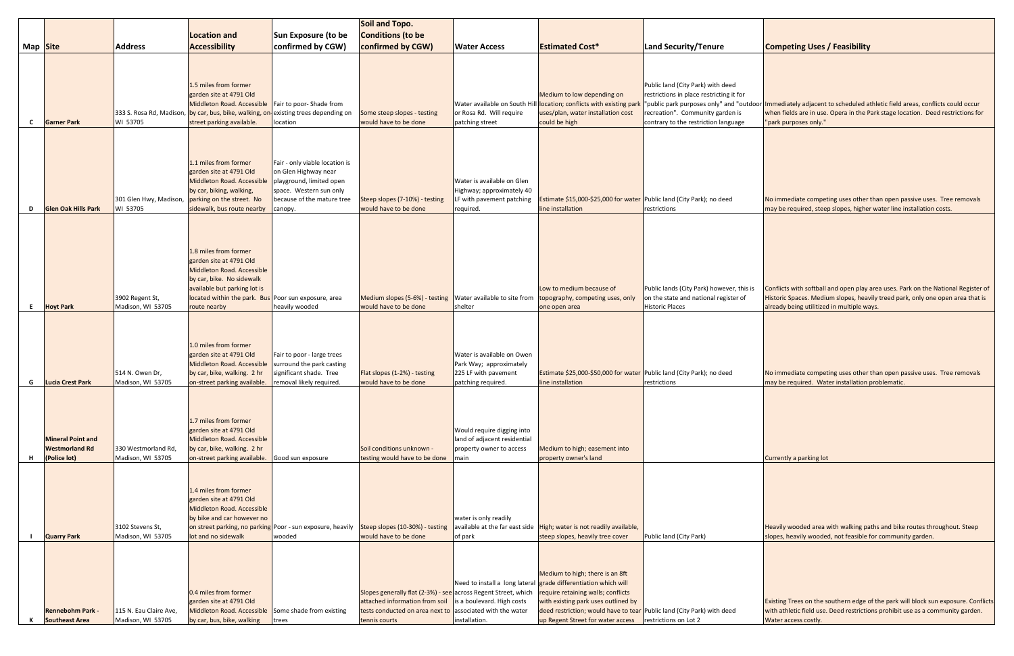|              |                                                                   | Soil and Topo.                              |                                                                                                                                                                                                                     |                                                                                                                                                        |                                                                                                                                                                                |                                                                                                     |                                                                                                                                                                                                                                                                                                |                                                                                                                                                                                                       |                                                                                                                          |
|--------------|-------------------------------------------------------------------|---------------------------------------------|---------------------------------------------------------------------------------------------------------------------------------------------------------------------------------------------------------------------|--------------------------------------------------------------------------------------------------------------------------------------------------------|--------------------------------------------------------------------------------------------------------------------------------------------------------------------------------|-----------------------------------------------------------------------------------------------------|------------------------------------------------------------------------------------------------------------------------------------------------------------------------------------------------------------------------------------------------------------------------------------------------|-------------------------------------------------------------------------------------------------------------------------------------------------------------------------------------------------------|--------------------------------------------------------------------------------------------------------------------------|
|              |                                                                   |                                             | <b>Location and</b>                                                                                                                                                                                                 | Sun Exposure (to be                                                                                                                                    | <b>Conditions (to be</b>                                                                                                                                                       |                                                                                                     |                                                                                                                                                                                                                                                                                                |                                                                                                                                                                                                       |                                                                                                                          |
| Map Site     |                                                                   | <b>Address</b>                              | <b>Accessibility</b>                                                                                                                                                                                                | confirmed by CGW)                                                                                                                                      | confirmed by CGW)                                                                                                                                                              | <b>Water Access</b>                                                                                 | <b>Estimated Cost*</b>                                                                                                                                                                                                                                                                         | Land Security/Tenure                                                                                                                                                                                  | <b>Competing Uses / Feasibility</b>                                                                                      |
| $\mathbf{C}$ | <b>Garner Park</b>                                                | WI 53705                                    | 1.5 miles from former<br>garden site at 4791 Old<br>Middleton Road. Accessible<br>333 S. Rosa Rd, Madison, by car, bus, bike, walking, or<br>street parking available.                                              | Fair to poor-Shade from<br>existing trees depending on<br>location                                                                                     | Some steep slopes - testing<br>would have to be done                                                                                                                           | or Rosa Rd. Will require<br>patching street                                                         | Medium to low depending on<br>Water available on South Hill location; conflicts with existing parl<br>uses/plan, water installation cost<br>could be high                                                                                                                                      | Public land (City Park) with deed<br>restrictions in place restricting it for<br>"public park purposes only" and "outdoor<br>recreation". Community garden is<br>contrary to the restriction language | Immediately adjacent to scheduled a<br>when fields are in use. Opera in the P<br>"park purposes only."                   |
| D            | <b>Glen Oak Hills Park</b>                                        | WI 53705                                    | 1.1 miles from former<br>garden site at 4791 Old<br>Middleton Road. Accessible<br>by car, biking, walking,<br>301 Glen Hwy, Madison, parking on the street. No<br>sidewalk, bus route nearby                        | Fair - only viable location is<br>on Glen Highway near<br>playground, limited open<br>space. Western sun only<br>because of the mature tree<br>canopy. | Steep slopes (7-10%) - testing<br>would have to be done                                                                                                                        | Water is available on Glen<br>Highway; approximately 40<br>LF with pavement patching<br>required.   | Estimate \$15,000-\$25,000 for water Public land (City Park); no deed<br>line installation                                                                                                                                                                                                     | restrictions                                                                                                                                                                                          | No immediate competing uses other<br>may be required, steep slopes, highe                                                |
| E.           | <b>Hoyt Park</b>                                                  | 3902 Regent St,<br>Madison, WI 53705        | 1.8 miles from former<br>garden site at 4791 Old<br>Middleton Road. Accessible<br>by car, bike. No sidewalk<br>available but parking lot is<br>located within the park. Bus Poor sun exposure, area<br>route nearby | heavily wooded                                                                                                                                         | Medium slopes (5-6%) - testing<br>would have to be done                                                                                                                        | Water available to site from<br>shelter                                                             | Low to medium because of<br>topography, competing uses, only<br>one open area                                                                                                                                                                                                                  | Public lands (City Park) however, this is<br>on the state and national register of<br><b>Historic Places</b>                                                                                          | Conflicts with softball and open play<br>Historic Spaces. Medium slopes, heav<br>already being utilitized in multiple wa |
| G            | <b>Lucia Crest Park</b>                                           | 514 N. Owen Dr,<br>Madison, WI 53705        | 1.0 miles from former<br>garden site at 4791 Old<br>Middleton Road. Accessible<br>by car, bike, walking. 2 hr<br>on-street parking available.                                                                       | Fair to poor - large trees<br>surround the park casting<br>significant shade. Tree<br>removal likely required.                                         | Flat slopes (1-2%) - testing<br>would have to be done                                                                                                                          | Water is available on Owen<br>Park Way; approximately<br>225 LF with pavement<br>patching required. | Estimate \$25,000-\$50,000 for water Public land (City Park); no deed<br>line installation                                                                                                                                                                                                     | restrictions                                                                                                                                                                                          | No immediate competing uses other<br>may be required. Water installation                                                 |
| н.           | <b>Mineral Point and</b><br><b>Westmorland Rd</b><br>(Police lot) | 330 Westmorland Rd<br>Madison, WI 53705     | 1.7 miles from former<br>garden site at 4791 Old<br>Middleton Road. Accessible<br>by car, bike, walking. 2 hr<br>on-street parking available.                                                                       | Good sun exposure                                                                                                                                      | Soil conditions unknown -<br>testing would have to be done                                                                                                                     | Would require digging into<br>land of adjacent residential<br>property owner to access<br>main      | Medium to high; easement into<br>property owner's land                                                                                                                                                                                                                                         |                                                                                                                                                                                                       | Currently a parking lot                                                                                                  |
|              | <b>Quarry Park</b>                                                | 3102 Stevens St,<br>Madison, WI 53705       | 1.4 miles from former<br>garden site at 4791 Old<br>Middleton Road. Accessible<br>by bike and car however no<br>lot and no sidewalk                                                                                 | wooded                                                                                                                                                 | on street parking, no parking Poor - sun exposure, heavily   Steep slopes (10-30%) - testing<br>would have to be done                                                          | water is only readily<br>of park                                                                    | available at the far east side   High; water is not readily available,<br>steep slopes, heavily tree cover                                                                                                                                                                                     | Public land (City Park)                                                                                                                                                                               | Heavily wooded area with walking pa<br>slopes, heavily wooded, not feasible                                              |
| к            | <b>Rennebohm Park -</b><br><b>Southeast Area</b>                  | 115 N. Eau Claire Ave,<br>Madison, WI 53705 | 0.4 miles from former<br>garden site at 4791 Old<br>Middleton Road. Accessible<br>by car, bus, bike, walking                                                                                                        | Some shade from existing<br>trees                                                                                                                      | Slopes generally flat (2-3%) - see across Regent Street, which<br>attached information from soil<br>tests conducted on area next to associated with the water<br>tennis courts | is a boulevard. High costs<br>installation.                                                         | Medium to high; there is an 8ft<br>Need to install a long lateral grade differentiation which will<br>require retaining walls; conflicts<br>with existing park uses outlined by<br>deed restriction; would have to tear Public land (City Park) with deed<br>up Regent Street for water access | restrictions on Lot 2                                                                                                                                                                                 | Existing Trees on the southern edge o<br>with athletic field use. Deed restrictic<br>Water access costly.                |

|       | <b>Competing Uses / Feasibility</b>                                                                                                                                  |
|-------|----------------------------------------------------------------------------------------------------------------------------------------------------------------------|
|       |                                                                                                                                                                      |
|       |                                                                                                                                                                      |
|       |                                                                                                                                                                      |
|       | tdoor <mark>Immediately adjacent to scheduled athletic field areas, conflicts could occur</mark>                                                                     |
|       | when fields are in use. Opera in the Park stage location. Deed restrictions for<br>"park purposes only."                                                             |
|       |                                                                                                                                                                      |
|       |                                                                                                                                                                      |
|       |                                                                                                                                                                      |
|       |                                                                                                                                                                      |
|       |                                                                                                                                                                      |
|       | No immediate competing uses other than open passive uses. Tree removals<br>may be required, steep slopes, higher water line installation costs.                      |
|       |                                                                                                                                                                      |
|       |                                                                                                                                                                      |
|       |                                                                                                                                                                      |
|       |                                                                                                                                                                      |
|       |                                                                                                                                                                      |
| is is | Conflicts with softball and open play area uses. Park on the National Register of<br>Historic Spaces. Medium slopes, heavily treed park, only one open area that is  |
|       | already being utilitized in multiple ways.                                                                                                                           |
|       |                                                                                                                                                                      |
|       |                                                                                                                                                                      |
|       |                                                                                                                                                                      |
|       | No immediate competing uses other than open passive uses. Tree removals                                                                                              |
|       | may be required. Water installation problematic.                                                                                                                     |
|       |                                                                                                                                                                      |
|       |                                                                                                                                                                      |
|       |                                                                                                                                                                      |
|       |                                                                                                                                                                      |
|       | Currently a parking lot                                                                                                                                              |
|       |                                                                                                                                                                      |
|       |                                                                                                                                                                      |
|       |                                                                                                                                                                      |
|       |                                                                                                                                                                      |
|       | Heavily wooded area with walking paths and bike routes throughout. Steep<br>slopes, heavily wooded, not feasible for community garden.                               |
|       |                                                                                                                                                                      |
|       |                                                                                                                                                                      |
|       |                                                                                                                                                                      |
|       |                                                                                                                                                                      |
|       | Existing Trees on the southern edge of the park will block sun exposure. Conflicts<br>with athletic field use. Deed restrictions prohibit use as a community garden. |
|       | Water access costly.                                                                                                                                                 |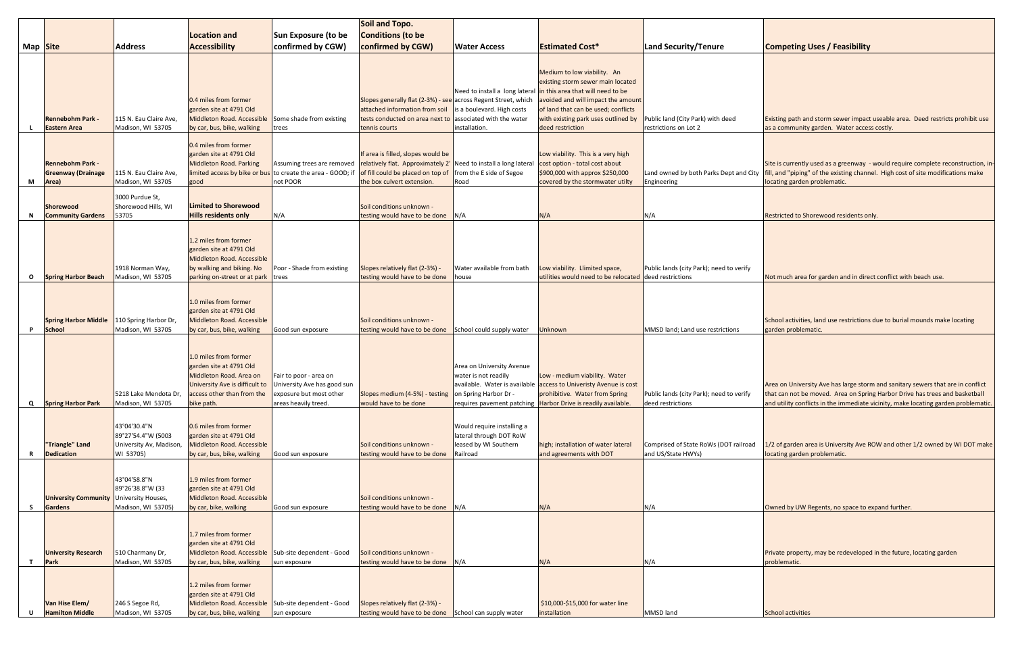|          |                                                                  |                                                                            |                                                                                                                                                           | Soil and Topo.                                                                                           |                                                                                                                                                                           |                                                                                                          |                                                                                                                                                                                                                                                                              |                                                               |                                                                                                                                                                    |
|----------|------------------------------------------------------------------|----------------------------------------------------------------------------|-----------------------------------------------------------------------------------------------------------------------------------------------------------|----------------------------------------------------------------------------------------------------------|---------------------------------------------------------------------------------------------------------------------------------------------------------------------------|----------------------------------------------------------------------------------------------------------|------------------------------------------------------------------------------------------------------------------------------------------------------------------------------------------------------------------------------------------------------------------------------|---------------------------------------------------------------|--------------------------------------------------------------------------------------------------------------------------------------------------------------------|
|          |                                                                  |                                                                            | <b>Location and</b>                                                                                                                                       | Sun Exposure (to be                                                                                      | <b>Conditions (to be</b>                                                                                                                                                  |                                                                                                          |                                                                                                                                                                                                                                                                              |                                                               |                                                                                                                                                                    |
| Map Site |                                                                  | <b>Address</b>                                                             | <b>Accessibility</b>                                                                                                                                      | confirmed by CGW)                                                                                        | confirmed by CGW)                                                                                                                                                         | <b>Water Access</b>                                                                                      | <b>Estimated Cost*</b>                                                                                                                                                                                                                                                       | Land Security/Tenure                                          | <b>Competing Uses / Feasibility</b>                                                                                                                                |
|          | <b>Rennebohm Park -</b><br><b>Eastern Area</b>                   | 115 N. Eau Claire Ave,<br>Madison, WI 53705                                | 0.4 miles from former<br>garden site at 4791 Old<br>Middleton Road. Accessible<br>by car, bus, bike, walking                                              | Some shade from existing<br>trees                                                                        | Slopes generally flat (2-3%) - see across Regent Street, which<br>attached information from soil<br>tests conducted on area next to<br>tennis courts                      | is a boulevard. High costs<br>associated with the water<br>installation.                                 | Medium to low viability. An<br>existing storm sewer main located<br>Need to install a long lateral in this area that will need to be<br>avoided and will impact the amount<br>of land that can be used; conflicts<br>with existing park uses outlined by<br>deed restriction | Public land (City Park) with deed<br>restrictions on Lot 2    | Existing path and storm sewer impact useable area.<br>as a community garden. Water access costly                                                                   |
| М        | <b>Rennebohm Park -</b><br><b>Greenway (Drainage</b><br>Area)    | 115 N. Eau Claire Ave,<br>Madison, WI 53705                                | 0.4 miles from former<br>garden site at 4791 Old<br><b>Middleton Road. Parking</b><br>limited access by bike or bus<br>good                               | Assuming trees are removed<br>to create the area - GOOD; if<br>not POOR                                  | If area is filled, slopes would be<br>relatively flat. Approximately 2' Need to install a long lateral<br>of fill could be placed on top of<br>the box culvert extension. | from the E side of Segoe<br>Road                                                                         | Low viability. This is a very high<br>cost option - total cost about<br>\$900,000 with approx \$250,000<br>covered by the stormwater utilty                                                                                                                                  | Land owned by both Parks Dept and City<br>Engineering         | Site is currently used as a greenway - would require<br>fill, and "piping" of the existing channel. High cost of<br>locating garden problematic.                   |
|          | <b>Shorewood</b><br><b>Community Gardens</b>                     | 3000 Purdue St,<br>Shorewood Hills, WI<br>53705                            | <b>Limited to Shorewood</b><br><b>Hills residents only</b>                                                                                                | N/A                                                                                                      | Soil conditions unknown -<br>testing would have to be done                                                                                                                | N/A                                                                                                      | N/A                                                                                                                                                                                                                                                                          | N/A                                                           | Restricted to Shorewood residents only.                                                                                                                            |
| O        | <b>Spring Harbor Beach</b>                                       | 1918 Norman Way,<br>Madison, WI 53705                                      | 1.2 miles from former<br>garden site at 4791 Old<br>Middleton Road. Accessible<br>by walking and biking. No<br>parking on-street or at park trees         | Poor - Shade from existing                                                                               | Slopes relatively flat (2-3%) -<br>testing would have to be done                                                                                                          | Water available from bath<br>house                                                                       | Low viability. Llimited space,<br>utilities would need to be relocated deed restrictions                                                                                                                                                                                     | Public lands (city Park); need to verify                      | Not much area for garden and in direct conflict with                                                                                                               |
| P        | <b>Spring Harbor Middle</b><br><b>School</b>                     | 110 Spring Harbor Dr,<br>Madison, WI 53705                                 | 1.0 miles from former<br>garden site at 4791 Old<br>Middleton Road. Accessible<br>by car, bus, bike, walking                                              | Good sun exposure                                                                                        | Soil conditions unknown -<br>testing would have to be done                                                                                                                | School could supply water                                                                                | Unknown                                                                                                                                                                                                                                                                      | MMSD land; Land use restrictions                              | School activities, land use restrictions due to burial<br>garden problematic.                                                                                      |
| Q        | <b>Spring Harbor Park</b>                                        | 5218 Lake Mendota Dr,<br>Madison, WI 53705                                 | 1.0 miles from former<br>garden site at 4791 Old<br>Middleton Road. Area on<br>University Ave is difficult to<br>access other than from the<br>bike path. | Fair to poor - area on<br>University Ave has good sun<br>exposure but most other<br>areas heavily treed. | Slopes medium (4-5%) - testing<br>would have to be done                                                                                                                   | Area on University Avenue<br>water is not readily<br>on Spring Harbor Dr -<br>requires pavement patching | Low - medium viability. Water<br>available. Water is available access to Univeristy Avenue is cost<br>prohibitive. Water from Spring<br>Harbor Drive is readily available.                                                                                                   | Public lands (city Park); need to verify<br>deed restrictions | Area on University Ave has large storm and sanitary<br>that can not be moved. Area on Spring Harbor Drive<br>and utility conflicts in the immediate vicinity, make |
|          | "Triangle" Land<br><b>Dedication</b>                             | 43°04'30.4"N<br>89°27'54.4"W (5003<br>University Av, Madison,<br>WI 53705) | 0.6 miles from former<br>garden site at 4791 Old<br>Middleton Road. Accessible<br>by car, bus, bike, walking                                              | Good sun exposure                                                                                        | Soil conditions unknown -<br>testing would have to be done                                                                                                                | Would require installing a<br>lateral through DOT RoW<br>leased by WI Southern<br>Railroad               | high; installation of water lateral<br>and agreements with DOT                                                                                                                                                                                                               | Comprised of State RoWs (DOT railroad<br>and US/State HWYs)   | 1/2 of garden area is University Ave ROW and other<br>locating garden problematic.                                                                                 |
| -S       | <b>University Community University Houses,</b><br><b>Gardens</b> | 43°04'58.8"N<br>89°26'38.8"W (33<br>Madison, WI 53705)                     | 1.9 miles from former<br>garden site at 4791 Old<br>Middleton Road. Accessible<br>by car, bike, walking                                                   | Good sun exposure                                                                                        | Soil conditions unknown -<br>testing would have to be done                                                                                                                | N/A                                                                                                      | N/A                                                                                                                                                                                                                                                                          | N/A                                                           | Owned by UW Regents, no space to expand further.                                                                                                                   |
|          | <b>University Research</b><br>Park                               | 510 Charmany Dr,<br>Madison, WI 53705                                      | 1.7 miles from former<br>garden site at 4791 Old<br>Middleton Road. Accessible<br>by car, bus, bike, walking                                              | Sub-site dependent - Good<br>sun exposure                                                                | Soil conditions unknown -<br>testing would have to be done                                                                                                                | N/A                                                                                                      | N/A                                                                                                                                                                                                                                                                          | N/A                                                           | Private property, may be redeveloped in the future,<br>problematic.                                                                                                |
|          | Van Hise Elem/<br><b>Hamilton Middle</b>                         | 246 S Segoe Rd,<br>Madison, WI 53705                                       | 1.2 miles from former<br>garden site at 4791 Old<br>Middleton Road. Accessible<br>by car, bus, bike, walking                                              | Sub-site dependent - Good<br>sun exposure                                                                | Slopes relatively flat (2-3%) -<br>testing would have to be done School can supply water                                                                                  |                                                                                                          | \$10,000-\$15,000 for water line<br>installation                                                                                                                                                                                                                             | MMSD land                                                     | <b>School activities</b>                                                                                                                                           |

| Land Security/Tenure                                          | <b>Competing Uses / Feasibility</b>                                                                                                                                                                   |
|---------------------------------------------------------------|-------------------------------------------------------------------------------------------------------------------------------------------------------------------------------------------------------|
|                                                               |                                                                                                                                                                                                       |
|                                                               |                                                                                                                                                                                                       |
|                                                               |                                                                                                                                                                                                       |
|                                                               |                                                                                                                                                                                                       |
| Public land (City Park) with deed<br>restrictions on Lot 2    | Existing path and storm sewer impact useable area. Deed restricts prohibit use<br>as a community garden. Water access costly.                                                                         |
|                                                               |                                                                                                                                                                                                       |
|                                                               |                                                                                                                                                                                                       |
| Land owned by both Parks Dept and City<br>Engineering         | Site is currently used as a greenway - would require complete reconstruction, in-<br>fill, and "piping" of the existing channel. High cost of site modifications make<br>locating garden problematic. |
|                                                               |                                                                                                                                                                                                       |
| N/A                                                           | Restricted to Shorewood residents only.                                                                                                                                                               |
|                                                               |                                                                                                                                                                                                       |
|                                                               |                                                                                                                                                                                                       |
|                                                               |                                                                                                                                                                                                       |
| Public lands (city Park); need to verify<br>deed restrictions | Not much area for garden and in direct conflict with beach use.                                                                                                                                       |
|                                                               |                                                                                                                                                                                                       |
|                                                               |                                                                                                                                                                                                       |
|                                                               | School activities, land use restrictions due to burial mounds make locating                                                                                                                           |
| MMSD land; Land use restrictions                              | garden problematic.                                                                                                                                                                                   |
|                                                               |                                                                                                                                                                                                       |
|                                                               |                                                                                                                                                                                                       |
|                                                               | Area on University Ave has large storm and sanitary sewers that are in conflict                                                                                                                       |
| Public lands (city Park); need to verify<br>deed restrictions | that can not be moved. Area on Spring Harbor Drive has trees and basketball<br>and utility conflicts in the immediate vicinity, make locating garden problematic.                                     |
|                                                               |                                                                                                                                                                                                       |
|                                                               |                                                                                                                                                                                                       |
| Comprised of State RoWs (DOT railroad                         | 1/2 of garden area is University Ave ROW and other 1/2 owned by WI DOT make                                                                                                                           |
| and US/State HWYs)                                            | locating garden problematic.                                                                                                                                                                          |
|                                                               |                                                                                                                                                                                                       |
|                                                               |                                                                                                                                                                                                       |
| N/A                                                           | Owned by UW Regents, no space to expand further.                                                                                                                                                      |
|                                                               |                                                                                                                                                                                                       |
|                                                               |                                                                                                                                                                                                       |
| N/A                                                           | Private property, may be redeveloped in the future, locating garden<br>problematic.                                                                                                                   |
|                                                               |                                                                                                                                                                                                       |
|                                                               |                                                                                                                                                                                                       |
|                                                               |                                                                                                                                                                                                       |
| MMSD land                                                     | <b>School activities</b>                                                                                                                                                                              |